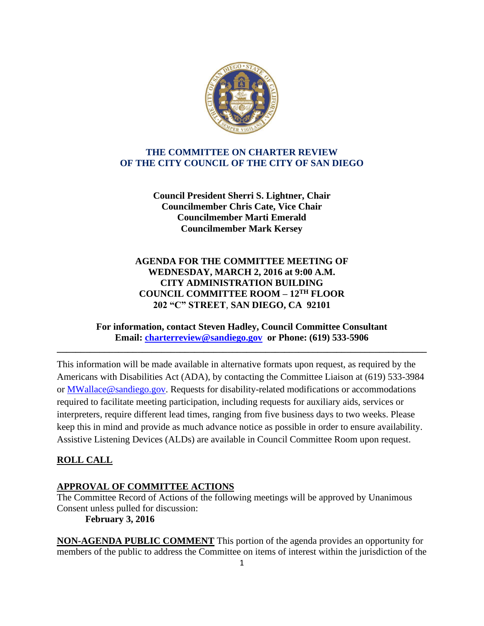

## **THE COMMITTEE ON CHARTER REVIEW OF THE CITY COUNCIL OF THE CITY OF SAN DIEGO**

**Council President Sherri S. Lightner, Chair Councilmember Chris Cate, Vice Chair Councilmember Marti Emerald Councilmember Mark Kersey**

## **AGENDA FOR THE COMMITTEE MEETING OF WEDNESDAY, MARCH 2, 2016 at 9:00 A.M. CITY ADMINISTRATION BUILDING COUNCIL COMMITTEE ROOM – 12TH FLOOR 202 "C" STREET**, **SAN DIEGO, CA 92101**

### **For information, contact Steven Hadley, Council Committee Consultant Email: [charterreview@sandiego.gov](mailto:charterreview@sandiego.gov) or Phone: (619) 533-5906**

**\_\_\_\_\_\_\_\_\_\_\_\_\_\_\_\_\_\_\_\_\_\_\_\_\_\_\_\_\_\_\_\_\_\_\_\_\_\_\_\_\_\_\_\_\_\_\_\_\_\_\_\_\_\_\_\_\_\_\_\_\_\_\_\_\_\_\_\_\_\_\_\_\_\_\_\_\_\_**

This information will be made available in alternative formats upon request, as required by the Americans with Disabilities Act (ADA), by contacting the Committee Liaison at (619) 533-3984 or MWallace@sandiego.gov. Requests for disability-related modifications or accommodations required to facilitate meeting participation, including requests for auxiliary aids, services or interpreters, require different lead times, ranging from five business days to two weeks. Please keep this in mind and provide as much advance notice as possible in order to ensure availability. Assistive Listening Devices (ALDs) are available in Council Committee Room upon request.

# **ROLL CALL**

### **APPROVAL OF COMMITTEE ACTIONS**

The Committee Record of Actions of the following meetings will be approved by Unanimous Consent unless pulled for discussion:

**February 3, 2016**

**NON-AGENDA PUBLIC COMMENT** This portion of the agenda provides an opportunity for members of the public to address the Committee on items of interest within the jurisdiction of the